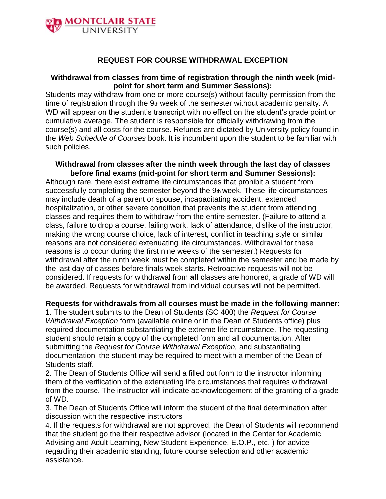

## **REQUEST FOR COURSE WITHDRAWAL EXCEPTION**

## **Withdrawal from classes from time of registration through the ninth week (midpoint for short term and Summer Sessions):**

Students may withdraw from one or more course(s) without faculty permission from the time of registration through the 9th week of the semester without academic penalty. A WD will appear on the student's transcript with no effect on the student's grade point or cumulative average. The student is responsible for officially withdrawing from the course(s) and all costs for the course. Refunds are dictated by University policy found in the *Web Schedule of Courses* book. It is incumbent upon the student to be familiar with such policies.

## **Withdrawal from classes after the ninth week through the last day of classes before final exams (mid-point for short term and Summer Sessions):**

Although rare, there exist extreme life circumstances that prohibit a student from successfully completing the semester beyond the 9th week. These life circumstances may include death of a parent or spouse, incapacitating accident, extended hospitalization, or other severe condition that prevents the student from attending classes and requires them to withdraw from the entire semester. (Failure to attend a class, failure to drop a course, failing work, lack of attendance, dislike of the instructor, making the wrong course choice, lack of interest, conflict in teaching style or similar reasons are not considered extenuating life circumstances. Withdrawal for these reasons is to occur during the first nine weeks of the semester.) Requests for withdrawal after the ninth week must be completed within the semester and be made by the last day of classes before finals week starts. Retroactive requests will not be considered. If requests for withdrawal from **all** classes are honored, a grade of WD will be awarded. Requests for withdrawal from individual courses will not be permitted.

## **Requests for withdrawals from all courses must be made in the following manner:**

1. The student submits to the Dean of Students (SC 400) the *Request for Course Withdrawal Exception* form (available online or in the Dean of Students office) plus required documentation substantiating the extreme life circumstance. The requesting student should retain a copy of the completed form and all documentation. After submitting the *Request for Course Withdrawal Exception,* and substantiating documentation, the student may be required to meet with a member of the Dean of Students staff.

2. The Dean of Students Office will send a filled out form to the instructor informing them of the verification of the extenuating life circumstances that requires withdrawal from the course. The instructor will indicate acknowledgement of the granting of a grade of WD.

3. The Dean of Students Office will inform the student of the final determination after discussion with the respective instructors

4. If the requests for withdrawal are not approved, the Dean of Students will recommend that the student go the their respective advisor (located in the Center for Academic Advising and Adult Learning, New Student Experience, E.O.P., etc. ) for advice regarding their academic standing, future course selection and other academic assistance.